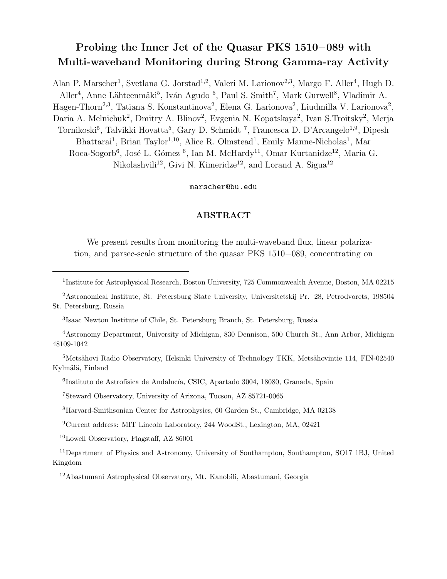# Probing the Inner Jet of the Quasar PKS 1510−089 with Multi-waveband Monitoring during Strong Gamma-ray Activity

Alan P. Marscher<sup>1</sup>, Svetlana G. Jorstad<sup>1,2</sup>, Valeri M. Larionov<sup>2,3</sup>, Margo F. Aller<sup>4</sup>, Hugh D. Aller<sup>4</sup>, Anne Lähteenmäki<sup>5</sup>, Iván Agudo <sup>6</sup>, Paul S. Smith<sup>7</sup>, Mark Gurwell<sup>8</sup>, Vladimir A. Hagen-Thorn<sup>2,3</sup>, Tatiana S. Konstantinova<sup>2</sup>, Elena G. Larionova<sup>2</sup>, Liudmilla V. Larionova<sup>2</sup>, Daria A. Melnichuk<sup>2</sup>, Dmitry A. Blinov<sup>2</sup>, Evgenia N. Kopatskaya<sup>2</sup>, Ivan S. Troitsky<sup>2</sup>, Merja Tornikoski<sup>5</sup>, Talvikki Hovatta<sup>5</sup>, Gary D. Schmidt<sup>7</sup>, Francesca D. D'Arcangelo<sup>1,9</sup>, Dipesh Bhattarai<sup>1</sup>, Brian Taylor<sup>1,10</sup>, Alice R. Olmstead<sup>1</sup>, Emily Manne-Nicholas<sup>1</sup>, Mar Roca-Sogorb<sup>6</sup>, José L. Gómez <sup>6</sup>, Ian M. McHardy<sup>11</sup>, Omar Kurtanidze<sup>12</sup>, Maria G. Nikolashvili<sup>12</sup>, Givi N. Kimeridze<sup>12</sup>, and Lorand A. Sigua<sup>12</sup>

## marscher@bu.edu

## ABSTRACT

We present results from monitoring the multi-waveband flux, linear polarization, and parsec-scale structure of the quasar PKS 1510−089, concentrating on

<sup>2</sup>Astronomical Institute, St. Petersburg State University, Universitetskij Pr. 28, Petrodvorets, 198504 St. Petersburg, Russia

<sup>5</sup>Metsähovi Radio Observatory, Helsinki University of Technology TKK, Metsähovintie 114, FIN-02540 Kylmälä, Finland

<sup>6</sup>Instituto de Astrofísica de Andalucía, CSIC, Apartado 3004, 18080, Granada, Spain

<sup>7</sup>Steward Observatory, University of Arizona, Tucson, AZ 85721-0065

<sup>8</sup>Harvard-Smithsonian Center for Astrophysics, 60 Garden St., Cambridge, MA 02138

<sup>9</sup>Current address: MIT Lincoln Laboratory, 244 WoodSt., Lexington, MA, 02421

<sup>10</sup>Lowell Observatory, Flagstaff, AZ 86001

<sup>11</sup>Department of Physics and Astronomy, University of Southampton, Southampton, SO17 1BJ, United Kingdom

<sup>12</sup>Abastumani Astrophysical Observatory, Mt. Kanobili, Abastumani, Georgia

<sup>&</sup>lt;sup>1</sup>Institute for Astrophysical Research, Boston University, 725 Commonwealth Avenue, Boston, MA 02215

<sup>3</sup> Isaac Newton Institute of Chile, St. Petersburg Branch, St. Petersburg, Russia

<sup>4</sup>Astronomy Department, University of Michigan, 830 Dennison, 500 Church St., Ann Arbor, Michigan 48109-1042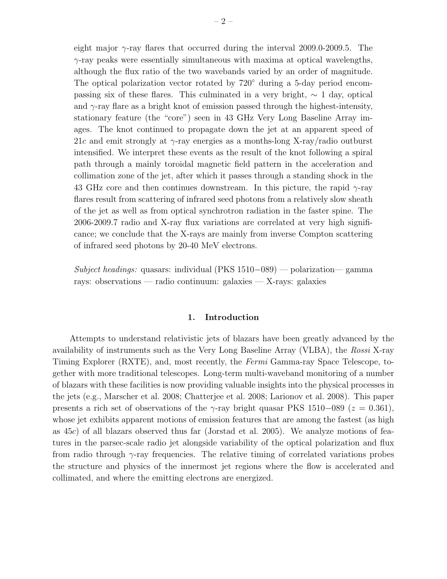eight major  $\gamma$ -ray flares that occurred during the interval 2009.0-2009.5. The  $\gamma$ -ray peaks were essentially simultaneous with maxima at optical wavelengths, although the flux ratio of the two wavebands varied by an order of magnitude. The optical polarization vector rotated by 720◦ during a 5-day period encompassing six of these flares. This culminated in a very bright,  $\sim 1$  day, optical and  $\gamma$ -ray flare as a bright knot of emission passed through the highest-intensity, stationary feature (the "core") seen in 43 GHz Very Long Baseline Array images. The knot continued to propagate down the jet at an apparent speed of 21c and emit strongly at  $\gamma$ -ray energies as a months-long X-ray/radio outburst intensified. We interpret these events as the result of the knot following a spiral path through a mainly toroidal magnetic field pattern in the acceleration and collimation zone of the jet, after which it passes through a standing shock in the 43 GHz core and then continues downstream. In this picture, the rapid  $\gamma$ -ray flares result from scattering of infrared seed photons from a relatively slow sheath of the jet as well as from optical synchrotron radiation in the faster spine. The 2006-2009.7 radio and X-ray flux variations are correlated at very high significance; we conclude that the X-rays are mainly from inverse Compton scattering of infrared seed photons by 20-40 MeV electrons.

Subject headings: quasars: individual (PKS 1510–089) — polarization— gamma rays: observations — radio continuum: galaxies — X-rays: galaxies

## 1. Introduction

Attempts to understand relativistic jets of blazars have been greatly advanced by the availability of instruments such as the Very Long Baseline Array (VLBA), the Rossi X-ray Timing Explorer (RXTE), and, most recently, the Fermi Gamma-ray Space Telescope, together with more traditional telescopes. Long-term multi-waveband monitoring of a number of blazars with these facilities is now providing valuable insights into the physical processes in the jets (e.g., Marscher et al. 2008; Chatterjee et al. 2008; Larionov et al. 2008). This paper presents a rich set of observations of the  $\gamma$ -ray bright quasar PKS 1510–089 ( $z = 0.361$ ), whose jet exhibits apparent motions of emission features that are among the fastest (as high as 45c) of all blazars observed thus far (Jorstad et al. 2005). We analyze motions of features in the parsec-scale radio jet alongside variability of the optical polarization and flux from radio through  $\gamma$ -ray frequencies. The relative timing of correlated variations probes the structure and physics of the innermost jet regions where the flow is accelerated and collimated, and where the emitting electrons are energized.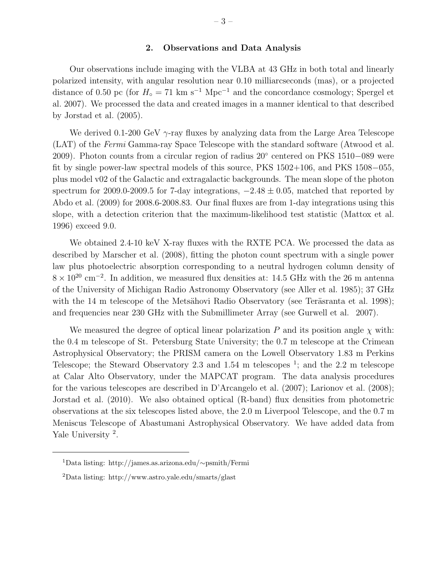### 2. Observations and Data Analysis

Our observations include imaging with the VLBA at 43 GHz in both total and linearly polarized intensity, with angular resolution near 0.10 milliarcseconds (mas), or a projected distance of 0.50 pc (for  $H_0 = 71$  km s<sup>-1</sup> Mpc<sup>-1</sup> and the concordance cosmology; Spergel et al. 2007). We processed the data and created images in a manner identical to that described by Jorstad et al. (2005).

We derived 0.1-200 GeV  $\gamma$ -ray fluxes by analyzing data from the Large Area Telescope (LAT) of the Fermi Gamma-ray Space Telescope with the standard software (Atwood et al. 2009). Photon counts from a circular region of radius 20° centered on PKS 1510−089 were fit by single power-law spectral models of this source, PKS 1502+106, and PKS 1508−055, plus model v02 of the Galactic and extragalactic backgrounds. The mean slope of the photon spectrum for 2009.0-2009.5 for 7-day integrations,  $-2.48 \pm 0.05$ , matched that reported by Abdo et al. (2009) for 2008.6-2008.83. Our final fluxes are from 1-day integrations using this slope, with a detection criterion that the maximum-likelihood test statistic (Mattox et al. 1996) exceed 9.0.

We obtained 2.4-10 keV X-ray fluxes with the RXTE PCA. We processed the data as described by Marscher et al. (2008), fitting the photon count spectrum with a single power law plus photoelectric absorption corresponding to a neutral hydrogen column density of  $8 \times 10^{20}$  cm<sup>-2</sup>. In addition, we measured flux densities at: 14.5 GHz with the 26 m antenna of the University of Michigan Radio Astronomy Observatory (see Aller et al. 1985); 37 GHz with the 14 m telescope of the Metsähovi Radio Observatory (see Teräsranta et al. 1998); and frequencies near 230 GHz with the Submillimeter Array (see Gurwell et al. 2007).

We measured the degree of optical linear polarization  $P$  and its position angle  $\chi$  with: the 0.4 m telescope of St. Petersburg State University; the 0.7 m telescope at the Crimean Astrophysical Observatory; the PRISM camera on the Lowell Observatory 1.83 m Perkins Telescope; the Steward Observatory 2.3 and 1.54 m telescopes  $\frac{1}{2}$ ; and the 2.2 m telescope at Calar Alto Observatory, under the MAPCAT program. The data analysis procedures for the various telescopes are described in D'Arcangelo et al. (2007); Larionov et al. (2008); Jorstad et al. (2010). We also obtained optical (R-band) flux densities from photometric observations at the six telescopes listed above, the 2.0 m Liverpool Telescope, and the 0.7 m Meniscus Telescope of Abastumani Astrophysical Observatory. We have added data from Yale University<sup>2</sup>.

<sup>1</sup>Data listing: http://james.as.arizona.edu/∼psmith/Fermi

<sup>2</sup>Data listing: http://www.astro.yale.edu/smarts/glast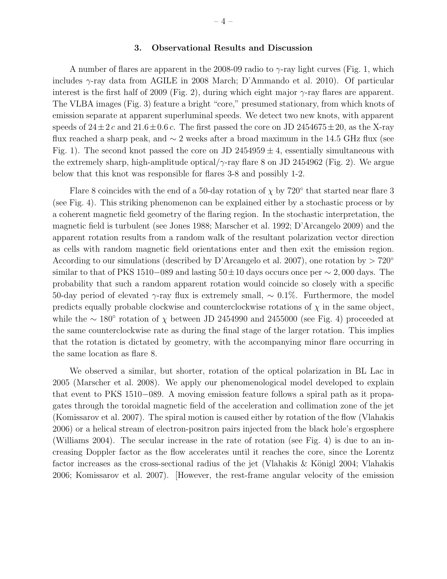#### 3. Observational Results and Discussion

A number of flares are apparent in the 2008-09 radio to  $\gamma$ -ray light curves (Fig. 1, which includes γ-ray data from AGILE in 2008 March; D'Ammando et al. 2010). Of particular interest is the first half of 2009 (Fig. 2), during which eight major  $\gamma$ -ray flares are apparent. The VLBA images (Fig. 3) feature a bright "core," presumed stationary, from which knots of emission separate at apparent superluminal speeds. We detect two new knots, with apparent speeds of  $24 \pm 2 c$  and  $21.6 \pm 0.6 c$ . The first passed the core on JD 2454675 $\pm 20$ , as the X-ray flux reached a sharp peak, and  $\sim$  2 weeks after a broad maximum in the 14.5 GHz flux (see Fig. 1). The second knot passed the core on JD 2454959  $\pm$  4, essentially simultaneous with the extremely sharp, high-amplitude optical/ $\gamma$ -ray flare 8 on JD 2454962 (Fig. 2). We argue below that this knot was responsible for flares 3-8 and possibly 1-2.

Flare 8 coincides with the end of a 50-day rotation of  $\chi$  by 720 $\degree$  that started near flare 3 (see Fig. 4). This striking phenomenon can be explained either by a stochastic process or by a coherent magnetic field geometry of the flaring region. In the stochastic interpretation, the magnetic field is turbulent (see Jones 1988; Marscher et al. 1992; D'Arcangelo 2009) and the apparent rotation results from a random walk of the resultant polarization vector direction as cells with random magnetic field orientations enter and then exit the emission region. According to our simulations (described by D'Arcangelo et al. 2007), one rotation by  $> 720^{\circ}$ similar to that of PKS 1510−089 and lasting  $50±10$  days occurs once per  $\sim 2,000$  days. The probability that such a random apparent rotation would coincide so closely with a specific 50-day period of elevated γ-ray flux is extremely small,  $\sim 0.1\%$ . Furthermore, the model predicts equally probable clockwise and counterclockwise rotations of  $\chi$  in the same object, while the  $\sim 180^{\circ}$  rotation of  $\chi$  between JD 2454990 and 2455000 (see Fig. 4) proceeded at the same counterclockwise rate as during the final stage of the larger rotation. This implies that the rotation is dictated by geometry, with the accompanying minor flare occurring in the same location as flare 8.

We observed a similar, but shorter, rotation of the optical polarization in BL Lac in 2005 (Marscher et al. 2008). We apply our phenomenological model developed to explain that event to PKS 1510−089. A moving emission feature follows a spiral path as it propagates through the toroidal magnetic field of the acceleration and collimation zone of the jet (Komissarov et al. 2007). The spiral motion is caused either by rotation of the flow (Vlahakis 2006) or a helical stream of electron-positron pairs injected from the black hole's ergosphere (Williams 2004). The secular increase in the rate of rotation (see Fig. 4) is due to an increasing Doppler factor as the flow accelerates until it reaches the core, since the Lorentz factor increases as the cross-sectional radius of the jet (Vlahakis  $\&$  Königl 2004; Vlahakis 2006; Komissarov et al. 2007). [However, the rest-frame angular velocity of the emission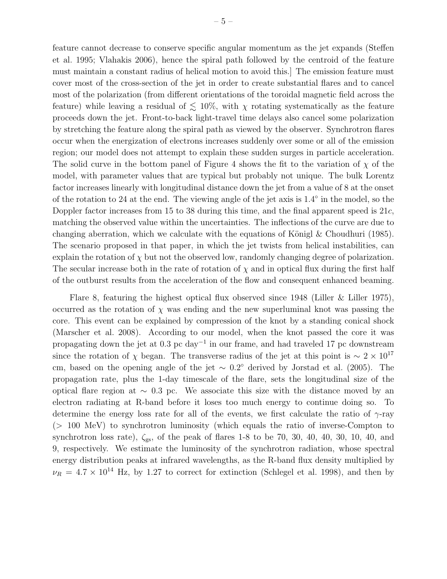feature cannot decrease to conserve specific angular momentum as the jet expands (Steffen et al. 1995; Vlahakis 2006), hence the spiral path followed by the centroid of the feature must maintain a constant radius of helical motion to avoid this.] The emission feature must cover most of the cross-section of the jet in order to create substantial flares and to cancel most of the polarization (from different orientations of the toroidal magnetic field across the feature) while leaving a residual of  $\lesssim 10\%$ , with  $\chi$  rotating systematically as the feature proceeds down the jet. Front-to-back light-travel time delays also cancel some polarization by stretching the feature along the spiral path as viewed by the observer. Synchrotron flares occur when the energization of electrons increases suddenly over some or all of the emission region; our model does not attempt to explain these sudden surges in particle acceleration. The solid curve in the bottom panel of Figure 4 shows the fit to the variation of  $\chi$  of the model, with parameter values that are typical but probably not unique. The bulk Lorentz factor increases linearly with longitudinal distance down the jet from a value of 8 at the onset of the rotation to 24 at the end. The viewing angle of the jet axis is 1.4° in the model, so the Doppler factor increases from 15 to 38 during this time, and the final apparent speed is 21c, matching the observed value within the uncertainties. The inflections of the curve are due to changing aberration, which we calculate with the equations of Königl  $\&$  Choudhuri (1985). The scenario proposed in that paper, in which the jet twists from helical instabilities, can explain the rotation of  $\chi$  but not the observed low, randomly changing degree of polarization. The secular increase both in the rate of rotation of  $\chi$  and in optical flux during the first half of the outburst results from the acceleration of the flow and consequent enhanced beaming.

Flare 8, featuring the highest optical flux observed since 1948 (Liller & Liller 1975), occurred as the rotation of  $\chi$  was ending and the new superluminal knot was passing the core. This event can be explained by compression of the knot by a standing conical shock (Marscher et al. 2008). According to our model, when the knot passed the core it was propagating down the jet at 0.3 pc day<sup>-1</sup> in our frame, and had traveled 17 pc downstream since the rotation of  $\chi$  began. The transverse radius of the jet at this point is ~ 2 × 10<sup>17</sup> cm, based on the opening angle of the jet  $\sim 0.2^{\circ}$  derived by Jorstad et al. (2005). The propagation rate, plus the 1-day timescale of the flare, sets the longitudinal size of the optical flare region at  $\sim$  0.3 pc. We associate this size with the distance moved by an electron radiating at R-band before it loses too much energy to continue doing so. To determine the energy loss rate for all of the events, we first calculate the ratio of  $\gamma$ -ray (> 100 MeV) to synchrotron luminosity (which equals the ratio of inverse-Compton to synchrotron loss rate),  $\zeta_{gs}$ , of the peak of flares 1-8 to be 70, 30, 40, 40, 30, 10, 40, and 9, respectively. We estimate the luminosity of the synchrotron radiation, whose spectral energy distribution peaks at infrared wavelengths, as the R-band flux density multiplied by  $\nu_R = 4.7 \times 10^{14}$  Hz, by 1.27 to correct for extinction (Schlegel et al. 1998), and then by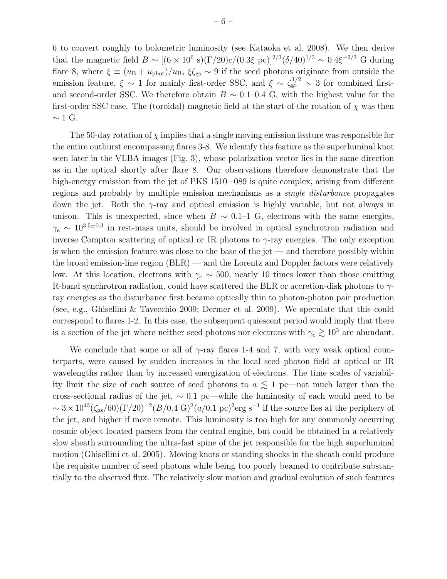6 to convert roughly to bolometric luminosity (see Kataoka et al. 2008). We then derive that the magnetic field  $B \sim [(6 \times 10^6 \text{ s})(\Gamma/20)c/(0.3\xi \text{ pc})]^{2/3}(\delta/40)^{1/3} \sim 0.4\xi^{-2/3} \text{ G during}$ flare 8, where  $\xi \equiv (u_{\rm B} + u_{\rm phot})/u_{\rm B}$ ,  $\xi \zeta_{\rm gs} \sim 9$  if the seed photons originate from outside the emission feature,  $\xi \sim 1$  for mainly first-order SSC, and  $\xi \sim \zeta_{gs}^{1/2} \sim 3$  for combined firstand second-order SSC. We therefore obtain  $B \sim 0.1{\text{-}}0.4 \text{ G}$ , with the highest value for the first-order SSC case. The (toroidal) magnetic field at the start of the rotation of  $\chi$  was then  $∼ 1$  G.

The 50-day rotation of  $\chi$  implies that a single moving emission feature was responsible for the entire outburst encompassing flares 3-8. We identify this feature as the superluminal knot seen later in the VLBA images (Fig. 3), whose polarization vector lies in the same direction as in the optical shortly after flare 8. Our observations therefore demonstrate that the high-energy emission from the jet of PKS 1510−089 is quite complex, arising from different regions and probably by multiple emission mechanisms as a single disturbance propagates down the jet. Both the  $\gamma$ -ray and optical emission is highly variable, but not always in unison. This is unexpected, since when  $B \sim 0.1$ –1 G, electrons with the same energies,  $\gamma_e \sim 10^{3.5 \pm 0.3}$  in rest-mass units, should be involved in optical synchrotron radiation and inverse Compton scattering of optical or IR photons to  $\gamma$ -ray energies. The only exception is when the emission feature was close to the base of the jet — and therefore possibly within the broad emission-line region (BLR) — and the Lorentz and Doppler factors were relatively low. At this location, electrons with  $\gamma_e \sim 500$ , nearly 10 times lower than those emitting R-band synchrotron radiation, could have scattered the BLR or accretion-disk photons to  $\gamma$ ray energies as the disturbance first became optically thin to photon-photon pair production (see, e.g., Ghisellini & Tavecchio 2009; Dermer et al. 2009). We speculate that this could correspond to flares 1-2. In this case, the subsequent quiescent period would imply that there is a section of the jet where neither seed photons nor electrons with  $\gamma_e \gtrsim 10^3$  are abundant.

We conclude that some or all of  $\gamma$ -ray flares 1-4 and 7, with very weak optical counterparts, were caused by sudden increases in the local seed photon field at optical or IR wavelengths rather than by increased energization of electrons. The time scales of variability limit the size of each source of seed photons to  $a \leq 1$  pc—not much larger than the cross-sectional radius of the jet,  $\sim 0.1$  pc—while the luminosity of each would need to be  $\sim 3 \times 10^{43} (\zeta_{\rm gs}/60) (\Gamma/20)^{-2} (B/0.4 \text{ G})^2 (a/0.1 \text{ pc})^2 \text{erg s}^{-1}$  if the source lies at the periphery of the jet, and higher if more remote. This luminosity is too high for any commonly occurring cosmic object located parsecs from the central engine, but could be obtained in a relatively slow sheath surrounding the ultra-fast spine of the jet responsible for the high superluminal motion (Ghisellini et al. 2005). Moving knots or standing shocks in the sheath could produce the requisite number of seed photons while being too poorly beamed to contribute substantially to the observed flux. The relatively slow motion and gradual evolution of such features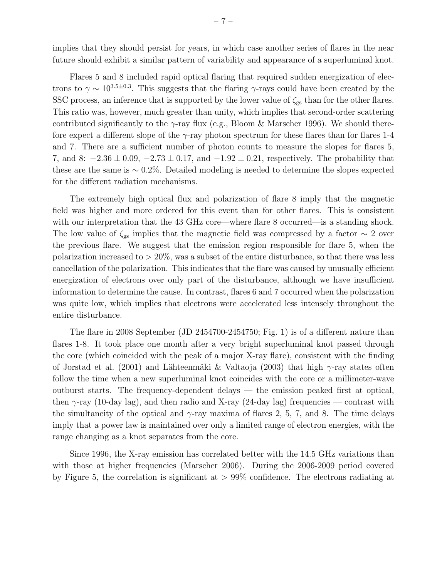implies that they should persist for years, in which case another series of flares in the near future should exhibit a similar pattern of variability and appearance of a superluminal knot.

Flares 5 and 8 included rapid optical flaring that required sudden energization of electrons to  $\gamma \sim 10^{3.5 \pm 0.3}$ . This suggests that the flaring  $\gamma$ -rays could have been created by the SSC process, an inference that is supported by the lower value of  $\zeta_{gs}$  than for the other flares. This ratio was, however, much greater than unity, which implies that second-order scattering contributed significantly to the  $\gamma$ -ray flux (e.g., Bloom & Marscher 1996). We should therefore expect a different slope of the  $\gamma$ -ray photon spectrum for these flares than for flares 1-4 and 7. There are a sufficient number of photon counts to measure the slopes for flares 5, 7, and 8:  $-2.36 \pm 0.09$ ,  $-2.73 \pm 0.17$ , and  $-1.92 \pm 0.21$ , respectively. The probability that these are the same is ∼ 0.2%. Detailed modeling is needed to determine the slopes expected for the different radiation mechanisms.

The extremely high optical flux and polarization of flare 8 imply that the magnetic field was higher and more ordered for this event than for other flares. This is consistent with our interpretation that the 43 GHz core—where flare 8 occurred—is a standing shock. The low value of  $\zeta_{gs}$  implies that the magnetic field was compressed by a factor  $\sim 2$  over the previous flare. We suggest that the emission region responsible for flare 5, when the polarization increased to  $> 20\%$ , was a subset of the entire disturbance, so that there was less cancellation of the polarization. This indicates that the flare was caused by unusually efficient energization of electrons over only part of the disturbance, although we have insufficient information to determine the cause. In contrast, flares 6 and 7 occurred when the polarization was quite low, which implies that electrons were accelerated less intensely throughout the entire disturbance.

The flare in 2008 September (JD 2454700-2454750; Fig. 1) is of a different nature than flares 1-8. It took place one month after a very bright superluminal knot passed through the core (which coincided with the peak of a major X-ray flare), consistent with the finding of Jorstad et al. (2001) and Lähteenmäki & Valtaoja (2003) that high  $\gamma$ -ray states often follow the time when a new superluminal knot coincides with the core or a millimeter-wave outburst starts. The frequency-dependent delays — the emission peaked first at optical, then  $\gamma$ -ray (10-day lag), and then radio and X-ray (24-day lag) frequencies — contrast with the simultaneity of the optical and  $\gamma$ -ray maxima of flares 2, 5, 7, and 8. The time delays imply that a power law is maintained over only a limited range of electron energies, with the range changing as a knot separates from the core.

Since 1996, the X-ray emission has correlated better with the 14.5 GHz variations than with those at higher frequencies (Marscher 2006). During the 2006-2009 period covered by Figure 5, the correlation is significant at  $> 99\%$  confidence. The electrons radiating at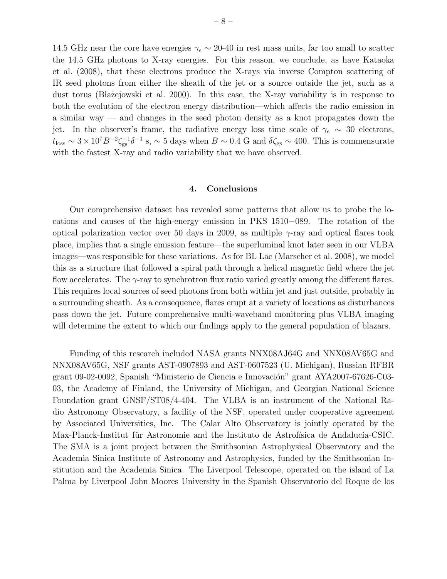14.5 GHz near the core have energies  $\gamma_e \sim 20$ -40 in rest mass units, far too small to scatter the 14.5 GHz photons to X-ray energies. For this reason, we conclude, as have Kataoka et al. (2008), that these electrons produce the X-rays via inverse Compton scattering of IR seed photons from either the sheath of the jet or a source outside the jet, such as a dust torus (Błażejowski et al. 2000). In this case, the X-ray variability is in response to both the evolution of the electron energy distribution—which affects the radio emission in a similar way — and changes in the seed photon density as a knot propagates down the jet. In the observer's frame, the radiative energy loss time scale of  $\gamma_e \sim 30$  electrons,  $t_{\rm loss} \sim 3 \times 10^7 B^{-2} \zeta_{\rm gs}^{-1} \delta^{-1}$  s,  $\sim 5$  days when  $B \sim 0.4$  G and  $\delta \zeta_{\rm gs} \sim 400$ . This is commensurate with the fastest X-ray and radio variability that we have observed.

### 4. Conclusions

Our comprehensive dataset has revealed some patterns that allow us to probe the locations and causes of the high-energy emission in PKS 1510−089. The rotation of the optical polarization vector over 50 days in 2009, as multiple  $\gamma$ -ray and optical flares took place, implies that a single emission feature—the superluminal knot later seen in our VLBA images—was responsible for these variations. As for BL Lac (Marscher et al. 2008), we model this as a structure that followed a spiral path through a helical magnetic field where the jet flow accelerates. The γ-ray to synchrotron flux ratio varied greatly among the different flares. This requires local sources of seed photons from both within jet and just outside, probably in a surrounding sheath. As a consequence, flares erupt at a variety of locations as disturbances pass down the jet. Future comprehensive multi-waveband monitoring plus VLBA imaging will determine the extent to which our findings apply to the general population of blazars.

Funding of this research included NASA grants NNX08AJ64G and NNX08AV65G and NNX08AV65G, NSF grants AST-0907893 and AST-0607523 (U. Michigan), Russian RFBR grant 09-02-0092, Spanish "Ministerio de Ciencia e Innovación" grant AYA2007-67626-C03-03, the Academy of Finland, the University of Michigan, and Georgian National Science Foundation grant GNSF/ST08/4-404. The VLBA is an instrument of the National Radio Astronomy Observatory, a facility of the NSF, operated under cooperative agreement by Associated Universities, Inc. The Calar Alto Observatory is jointly operated by the Max-Planck-Institut für Astronomie and the Instituto de Astrofísica de Andalucía-CSIC. The SMA is a joint project between the Smithsonian Astrophysical Observatory and the Academia Sinica Institute of Astronomy and Astrophysics, funded by the Smithsonian Institution and the Academia Sinica. The Liverpool Telescope, operated on the island of La Palma by Liverpool John Moores University in the Spanish Observatorio del Roque de los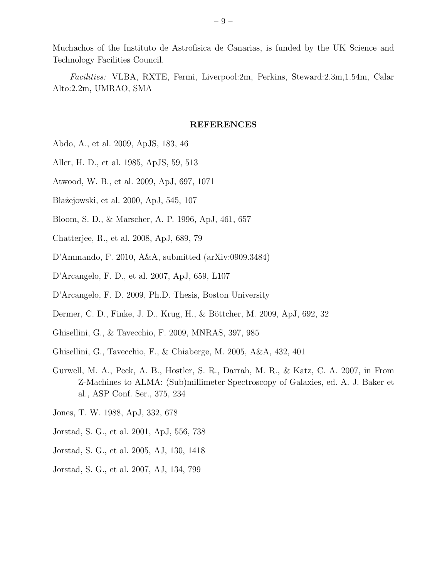Muchachos of the Instituto de Astrofisica de Canarias, is funded by the UK Science and Technology Facilities Council.

Facilities: VLBA, RXTE, Fermi, Liverpool:2m, Perkins, Steward:2.3m,1.54m, Calar Alto:2.2m, UMRAO, SMA

### REFERENCES

- Abdo, A., et al. 2009, ApJS, 183, 46
- Aller, H. D., et al. 1985, ApJS, 59, 513
- Atwood, W. B., et al. 2009, ApJ, 697, 1071
- Błażejowski, et al. 2000, ApJ, 545, 107
- Bloom, S. D., & Marscher, A. P. 1996, ApJ, 461, 657
- Chatterjee, R., et al. 2008, ApJ, 689, 79
- D'Ammando, F. 2010, A&A, submitted (arXiv:0909.3484)
- D'Arcangelo, F. D., et al. 2007, ApJ, 659, L107
- D'Arcangelo, F. D. 2009, Ph.D. Thesis, Boston University
- Dermer, C. D., Finke, J. D., Krug, H., & Böttcher, M. 2009, ApJ, 692, 32
- Ghisellini, G., & Tavecchio, F. 2009, MNRAS, 397, 985
- Ghisellini, G., Tavecchio, F., & Chiaberge, M. 2005, A&A, 432, 401
- Gurwell, M. A., Peck, A. B., Hostler, S. R., Darrah, M. R., & Katz, C. A. 2007, in From Z-Machines to ALMA: (Sub)millimeter Spectroscopy of Galaxies, ed. A. J. Baker et al., ASP Conf. Ser., 375, 234
- Jones, T. W. 1988, ApJ, 332, 678
- Jorstad, S. G., et al. 2001, ApJ, 556, 738
- Jorstad, S. G., et al. 2005, AJ, 130, 1418
- Jorstad, S. G., et al. 2007, AJ, 134, 799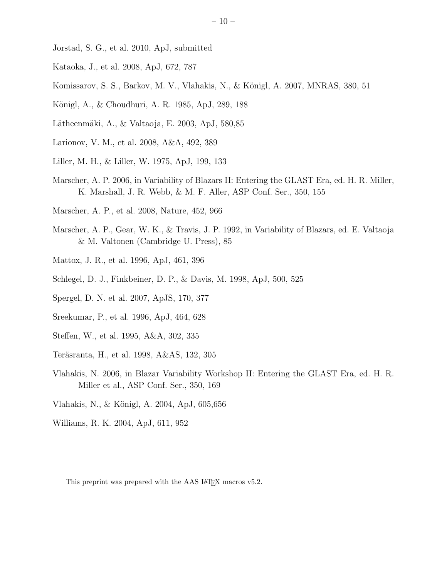- Jorstad, S. G., et al. 2010, ApJ, submitted
- Kataoka, J., et al. 2008, ApJ, 672, 787
- Komissarov, S. S., Barkov, M. V., Vlahakis, N., & Königl, A. 2007, MNRAS, 380, 51
- Königl, A., & Choudhuri, A. R. 1985, ApJ, 289, 188
- Lätheenmäki, A., & Valtaoja, E. 2003, ApJ, 580,85
- Larionov, V. M., et al. 2008, A&A, 492, 389
- Liller, M. H., & Liller, W. 1975, ApJ, 199, 133
- Marscher, A. P. 2006, in Variability of Blazars II: Entering the GLAST Era, ed. H. R. Miller, K. Marshall, J. R. Webb, & M. F. Aller, ASP Conf. Ser., 350, 155
- Marscher, A. P., et al. 2008, Nature, 452, 966
- Marscher, A. P., Gear, W. K., & Travis, J. P. 1992, in Variability of Blazars, ed. E. Valtaoja & M. Valtonen (Cambridge U. Press), 85
- Mattox, J. R., et al. 1996, ApJ, 461, 396
- Schlegel, D. J., Finkbeiner, D. P., & Davis, M. 1998, ApJ, 500, 525
- Spergel, D. N. et al. 2007, ApJS, 170, 377
- Sreekumar, P., et al. 1996, ApJ, 464, 628
- Steffen, W., et al. 1995, A&A, 302, 335
- Teräsranta, H., et al. 1998, A&AS, 132, 305
- Vlahakis, N. 2006, in Blazar Variability Workshop II: Entering the GLAST Era, ed. H. R. Miller et al., ASP Conf. Ser., 350, 169
- Vlahakis, N., & Königl, A. 2004, ApJ, 605,656
- Williams, R. K. 2004, ApJ, 611, 952

This preprint was prepared with the AAS LAT<sub>EX</sub> macros v5.2.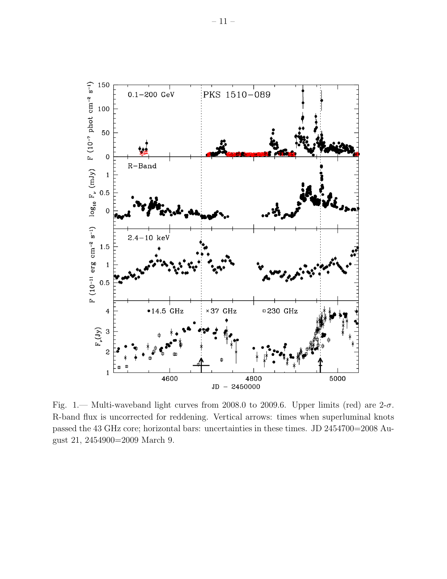

Fig. 1.— Multi-waveband light curves from 2008.0 to 2009.6. Upper limits (red) are  $2-\sigma$ . R-band flux is uncorrected for reddening. Vertical arrows: times when superluminal knots passed the 43 GHz core; horizontal bars: uncertainties in these times. JD 2454700=2008 August 21, 2454900=2009 March 9.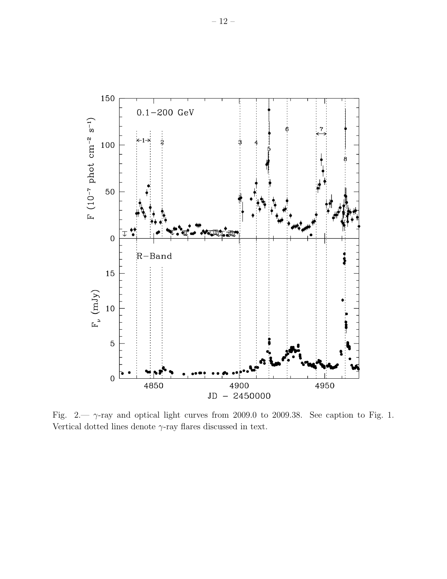

Fig. 2.—  $\gamma$ -ray and optical light curves from 2009.0 to 2009.38. See caption to Fig. 1. Vertical dotted lines denote  $\gamma$ -ray flares discussed in text.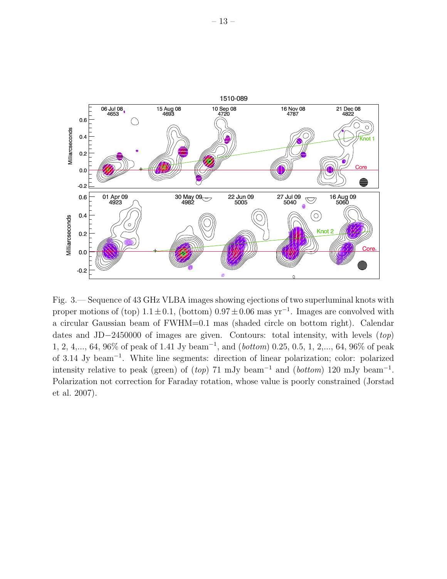

Fig. 3.— Sequence of 43 GHz VLBA images showing ejections of two superluminal knots with proper motions of (top)  $1.1 \pm 0.1$ , (bottom)  $0.97 \pm 0.06$  mas yr<sup>-1</sup>. Images are convolved with a circular Gaussian beam of FWHM=0.1 mas (shaded circle on bottom right). Calendar dates and JD−2450000 of images are given. Contours: total intensity, with levels (top) 1, 2, 4,..., 64, 96% of peak of 1.41 Jy beam<sup>-1</sup>, and (*bottom*) 0.25, 0.5, 1, 2,..., 64, 96% of peak of 3.14 Jy beam<sup>−</sup><sup>1</sup> . White line segments: direction of linear polarization; color: polarized intensity relative to peak (green) of  $(top)$  71 mJy beam<sup>-1</sup> and (*bottom*) 120 mJy beam<sup>-1</sup>. Polarization not correction for Faraday rotation, whose value is poorly constrained (Jorstad et al. 2007).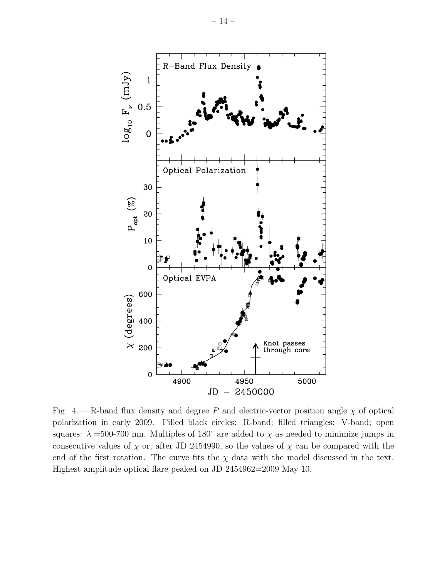

Fig. 4.— R-band flux density and degree P and electric-vector position angle  $\chi$  of optical polarization in early 2009. Filled black circles: R-band; filled triangles: V-band; open squares:  $\lambda = 500$ -700 nm. Multiples of 180 $\degree$  are added to  $\chi$  as needed to minimize jumps in consecutive values of  $\chi$  or, after JD 2454990, so the values of  $\chi$  can be compared with the end of the first rotation. The curve fits the  $\chi$  data with the model discussed in the text. Highest amplitude optical flare peaked on JD 2454962=2009 May 10.